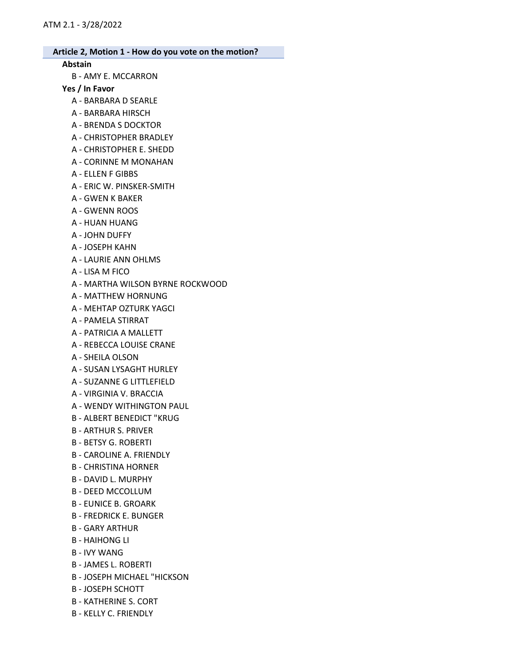#### Abstain

B - AMY E. MCCARRON

#### Yes / In Favor

- A BARBARA D SEARLE
- A BARBARA HIRSCH
- A BRENDA S DOCKTOR
- A CHRISTOPHER BRADLEY
- A CHRISTOPHER E. SHEDD
- A CORINNE M MONAHAN
- A ELLEN F GIBBS
- A ERIC W. PINSKER-SMITH
- A GWEN K BAKER
- A GWENN ROOS
- A HUAN HUANG
- A JOHN DUFFY
- A JOSEPH KAHN
- A LAURIE ANN OHLMS
- A LISA M FICO
- A MARTHA WILSON BYRNE ROCKWOOD
- A MATTHEW HORNUNG
- A MEHTAP OZTURK YAGCI
- A PAMELA STIRRAT
- A PATRICIA A MALLETT
- A REBECCA LOUISE CRANE
- A SHEILA OLSON
- A SUSAN LYSAGHT HURLEY
- A SUZANNE G LITTLEFIELD
- A VIRGINIA V. BRACCIA
- A WENDY WITHINGTON PAUL
- B ALBERT BENEDICT "KRUG
- B ARTHUR S. PRIVER
- B BETSY G. ROBERTI
- B CAROLINE A. FRIENDLY
- B CHRISTINA HORNER
- B DAVID L. MURPHY
- B DEED MCCOLLUM
- B EUNICE B. GROARK
- B FREDRICK E. BUNGER
- B GARY ARTHUR
- B HAIHONG LI
- B IVY WANG
- B JAMES L. ROBERTI
- B JOSEPH MICHAEL "HICKSON
- B JOSEPH SCHOTT
- B KATHERINE S. CORT
- B KELLY C. FRIENDLY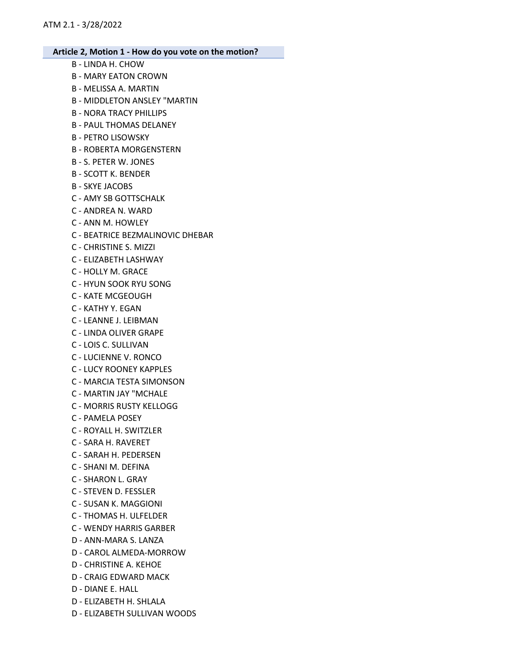B - LINDA H. CHOW B - MARY EATON CROWN B - MELISSA A. MARTIN B - MIDDLETON ANSLEY "MARTIN B - NORA TRACY PHILLIPS B - PAUL THOMAS DELANEY B - PETRO LISOWSKY B - ROBERTA MORGENSTERN B - S. PETER W. JONES B - SCOTT K. BENDER B - SKYE JACOBS C - AMY SB GOTTSCHALK C - ANDREA N. WARD C - ANN M. HOWLEY C - BEATRICE BEZMALINOVIC DHEBAR C - CHRISTINE S. MIZZI C - ELIZABETH LASHWAY C - HOLLY M. GRACE C - HYUN SOOK RYU SONG C - KATE MCGEOUGH C - KATHY Y. EGAN C - LEANNE J. LEIBMAN C - LINDA OLIVER GRAPE C - LOIS C. SULLIVAN C - LUCIENNE V. RONCO C - LUCY ROONEY KAPPLES C - MARCIA TESTA SIMONSON C - MARTIN JAY "MCHALE C - MORRIS RUSTY KELLOGG C - PAMELA POSEY C - ROYALL H. SWITZLER C - SARA H. RAVERET C - SARAH H. PEDERSEN C - SHANI M. DEFINA C - SHARON L. GRAY C - STEVEN D. FESSLER C - SUSAN K. MAGGIONI C - THOMAS H. ULFELDER C - WENDY HARRIS GARBER D - ANN-MARA S. LANZA D - CAROL ALMEDA-MORROW D - CHRISTINE A. KEHOE D - CRAIG EDWARD MACK D - DIANE E. HALL D - ELIZABETH H. SHLALA D - ELIZABETH SULLIVAN WOODS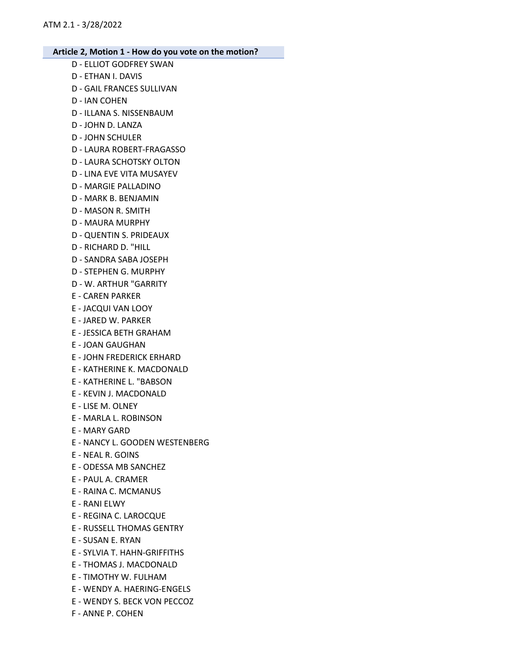- D ELLIOT GODFREY SWAN
- D ETHAN I. DAVIS
- D GAIL FRANCES SULLIVAN
- D IAN COHEN
- D ILLANA S. NISSENBAUM
- D JOHN D. LANZA
- D JOHN SCHULER
- D LAURA ROBERT-FRAGASSO
- D LAURA SCHOTSKY OLTON
- D LINA EVE VITA MUSAYEV
- D MARGIE PALLADINO
- D MARK B. BENJAMIN
- D MASON R. SMITH
- D MAURA MURPHY
- D QUENTIN S. PRIDEAUX
- D RICHARD D. "HILL
- D SANDRA SABA JOSEPH
- D STEPHEN G. MURPHY
- D W. ARTHUR "GARRITY
- E CAREN PARKER
- E JACQUI VAN LOOY
- E JARED W. PARKER
- E JESSICA BETH GRAHAM
- E JOAN GAUGHAN
- E JOHN FREDERICK ERHARD
- E KATHERINE K. MACDONALD
- E KATHERINE L. "BABSON
- E KEVIN J. MACDONALD
- E LISE M. OLNEY
- E MARLA L. ROBINSON
- E MARY GARD
- E NANCY L. GOODEN WESTENBERG
- E NEAL R. GOINS
- E ODESSA MB SANCHEZ
- E PAUL A. CRAMER
- E RAINA C. MCMANUS
- E RANI ELWY
- E REGINA C. LAROCQUE
- E RUSSELL THOMAS GENTRY
- E SUSAN E. RYAN
- E SYLVIA T. HAHN-GRIFFITHS
- E THOMAS J. MACDONALD
- E TIMOTHY W. FULHAM
- E WENDY A. HAERING-ENGELS
- E WENDY S. BECK VON PECCOZ
- F ANNE P. COHEN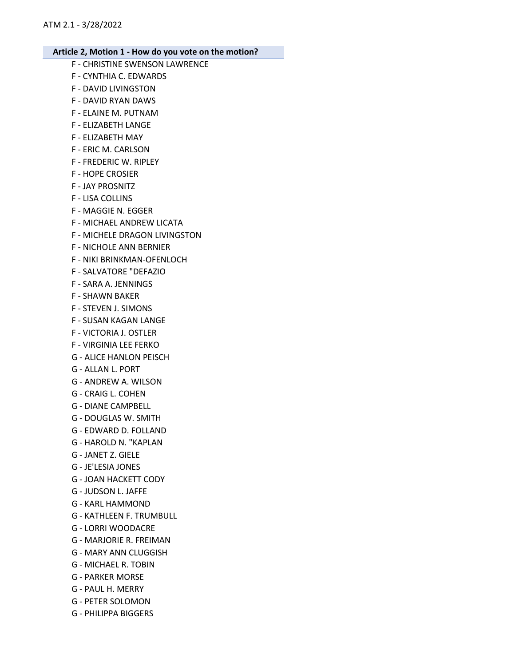- F CHRISTINE SWENSON LAWRENCE
- F CYNTHIA C. EDWARDS
- F DAVID LIVINGSTON
- F DAVID RYAN DAWS
- F ELAINE M. PUTNAM
- F ELIZABETH LANGE
- F ELIZABETH MAY
- F ERIC M. CARLSON
- F FREDERIC W. RIPLEY
- F HOPE CROSIER
- F JAY PROSNITZ
- F LISA COLLINS
- F MAGGIE N. EGGER
- F MICHAEL ANDREW LICATA
- F MICHELE DRAGON LIVINGSTON
- F NICHOLE ANN BERNIER
- F NIKI BRINKMAN-OFENLOCH
- F SALVATORE "DEFAZIO
- F SARA A. JENNINGS
- F SHAWN BAKER
- F STEVEN J. SIMONS
- F SUSAN KAGAN LANGE
- F VICTORIA J. OSTLER
- F VIRGINIA LEE FERKO
- G ALICE HANLON PEISCH
- G ALLAN L. PORT
- G ANDREW A. WILSON
- G CRAIG L. COHEN
- G DIANE CAMPBELL
- G DOUGLAS W. SMITH
- G EDWARD D. FOLLAND
- G HAROLD N. "KAPLAN
- G JANET Z. GIELE
- G JE'LESIA JONES
- G JOAN HACKETT CODY
- G JUDSON L. JAFFE
- G KARL HAMMOND
- G KATHLEEN F. TRUMBULL
- G LORRI WOODACRE
- G MARJORIE R. FREIMAN
- G MARY ANN CLUGGISH
- G MICHAEL R. TOBIN
- G PARKER MORSE
- G PAUL H. MERRY
- G PETER SOLOMON
- G PHILIPPA BIGGERS